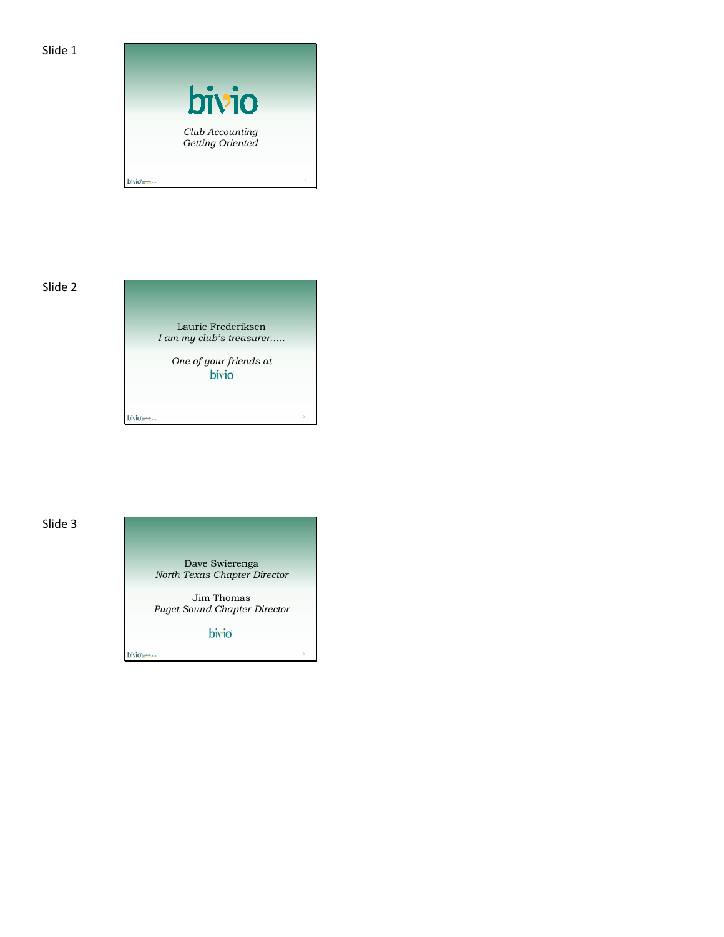



*One of your friends at*

bivio anno

bivious-

# Slide 3

Dave Swierenga *North Texas Chapter Director*

Jim Thomas *Puget Sound Chapter Director*

bivio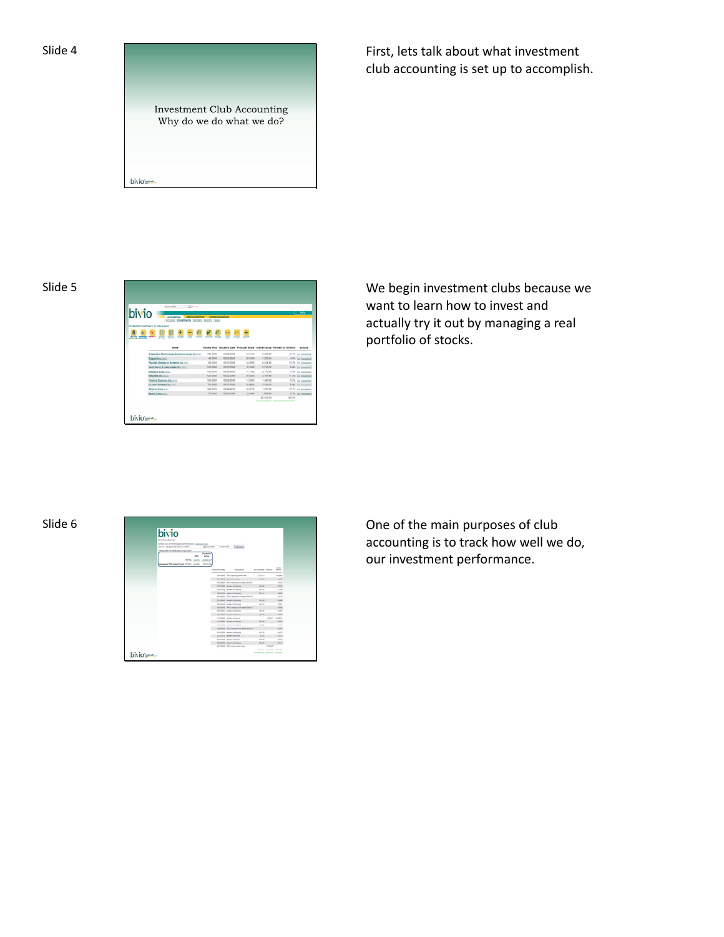



First, lets talk about what investment club accounting is set up to accomplish.





want to learn how to invest and actually try it out by managing a real portfolio of stocks.

| Slide 6 |        | bivio<br><b>Wilstern Metro</b><br>presented by the former space provide seconds. All provides and<br>Month, California Gas Ford 1981<br>who mise has raise case to that does<br><b>WW JUST JUSTS</b><br><b>REGULAR PURA CORP. AT JPG 10 FOR</b> | a service and controller                                                                                                       |                                         |                                 |  | our investment performance. |  | One of the main purposes of club<br>accounting is to track how well we |
|---------|--------|-------------------------------------------------------------------------------------------------------------------------------------------------------------------------------------------------------------------------------------------------|--------------------------------------------------------------------------------------------------------------------------------|-----------------------------------------|---------------------------------|--|-----------------------------|--|------------------------------------------------------------------------|
|         |        |                                                                                                                                                                                                                                                 | ---<br>standards. Of his reaching day as well<br><b>CO-DOS HATAFIELDS</b><br>and building contact support and company of their | Attack-<br><b>Printed</b>               | <b>Branch</b><br><b>THE GAR</b> |  |                             |  |                                                                        |
|         |        |                                                                                                                                                                                                                                                 | <b><i>CONTRACTOR</i></b>                                                                                                       |                                         | 194                             |  |                             |  |                                                                        |
|         |        |                                                                                                                                                                                                                                                 | <b>MONTHS FROM ANTIQUES</b>                                                                                                    |                                         | 1119                            |  |                             |  |                                                                        |
|         |        |                                                                                                                                                                                                                                                 | <b>CASTILE - HATCH STREAMS</b>                                                                                                 |                                         | $-$                             |  |                             |  |                                                                        |
|         |        |                                                                                                                                                                                                                                                 |                                                                                                                                |                                         | $-0.01$                         |  |                             |  |                                                                        |
|         |        |                                                                                                                                                                                                                                                 | <b>PERSONAL INCOME IN COLUMN</b>                                                                                               |                                         | 1,897                           |  |                             |  |                                                                        |
|         |        |                                                                                                                                                                                                                                                 | <b>MARINE SANDA MARINE</b>                                                                                                     | $-$                                     | 1.04                            |  |                             |  |                                                                        |
|         |        |                                                                                                                                                                                                                                                 | children offer sections on more first 17                                                                                       |                                         |                                 |  |                             |  |                                                                        |
|         |        |                                                                                                                                                                                                                                                 | <b>GRAND SERVICES</b>                                                                                                          | <b>ALC</b>                              |                                 |  |                             |  |                                                                        |
|         |        |                                                                                                                                                                                                                                                 | MATHEMATICAL COMPANY                                                                                                           | <b>STATE</b>                            |                                 |  |                             |  |                                                                        |
|         |        |                                                                                                                                                                                                                                                 | <b>ATOM rental silving</b>                                                                                                     |                                         | 4,84.17 48,251                  |  |                             |  |                                                                        |
|         |        |                                                                                                                                                                                                                                                 | <b>CONTRACTOR</b> COMPANY INCOME.                                                                                              |                                         | $\sim$                          |  |                             |  |                                                                        |
|         |        |                                                                                                                                                                                                                                                 | <b>Schedule - record publishers</b>                                                                                            |                                         | $\alpha=10^4$                   |  |                             |  |                                                                        |
|         |        |                                                                                                                                                                                                                                                 | <b>PERC IPES services an erec C-20</b>                                                                                         |                                         | 194                             |  |                             |  |                                                                        |
|         |        |                                                                                                                                                                                                                                                 | <b>ASSISS rental probability</b>                                                                                               | 43.9                                    | Lists.                          |  |                             |  |                                                                        |
|         |        |                                                                                                                                                                                                                                                 | <b>COLOR DESIGNATION</b>                                                                                                       |                                         | <b>STATE</b>                    |  |                             |  |                                                                        |
|         |        |                                                                                                                                                                                                                                                 | <b>SEARCH TATACOUS</b>                                                                                                         | -                                       | <b>Limited</b>                  |  |                             |  |                                                                        |
|         |        |                                                                                                                                                                                                                                                 | <b>NEW CARD AND ARRESTS</b>                                                                                                    |                                         | part                            |  |                             |  |                                                                        |
|         |        |                                                                                                                                                                                                                                                 | TERCER UNIVERSITY AN                                                                                                           |                                         |                                 |  |                             |  |                                                                        |
|         |        |                                                                                                                                                                                                                                                 |                                                                                                                                | product the state of the con-<br>______ |                                 |  |                             |  |                                                                        |
|         | bivio- |                                                                                                                                                                                                                                                 |                                                                                                                                |                                         |                                 |  |                             |  |                                                                        |
|         |        |                                                                                                                                                                                                                                                 |                                                                                                                                |                                         |                                 |  |                             |  |                                                                        |

accounting is to track how well we do, our investment performance.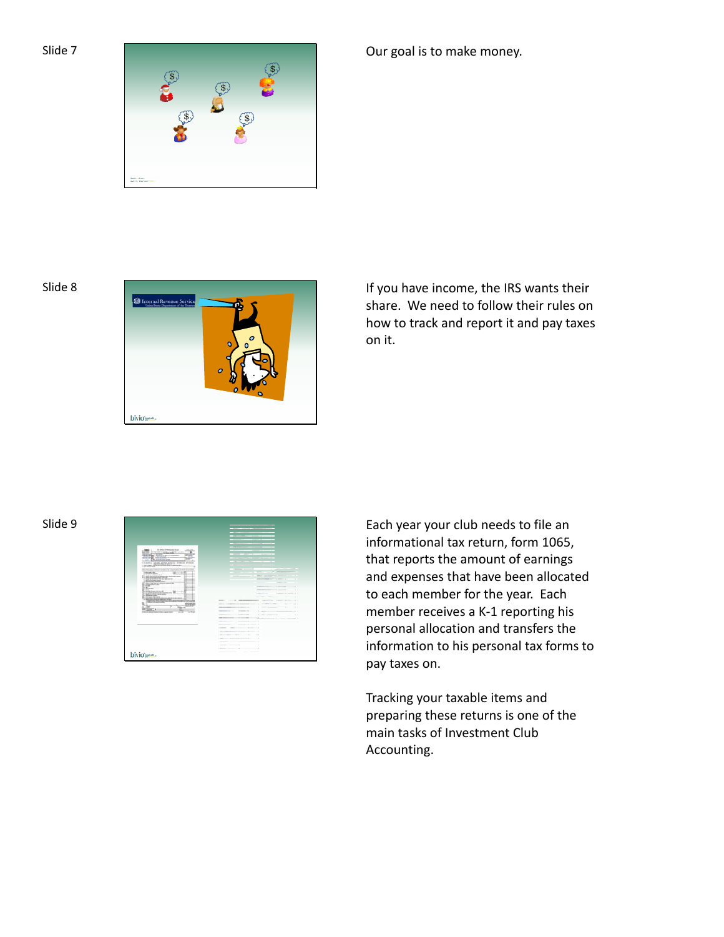

# Our goal is to make money.



Slide 8 **If you have income, the IRS wants their** is a state of the IRS wants their share. We need to follow their rules on how to track and report it and pay taxes on it.



informational tax return, form 1065, that reports the amount of earnings and expenses that have been allocated to each member for the year. Each member receives a K‐1 reporting his personal allocation and transfers the information to his personal tax forms to pay taxes on.

Tracking your taxable items and preparing these returns is one of the main tasks of Investment Club Accounting.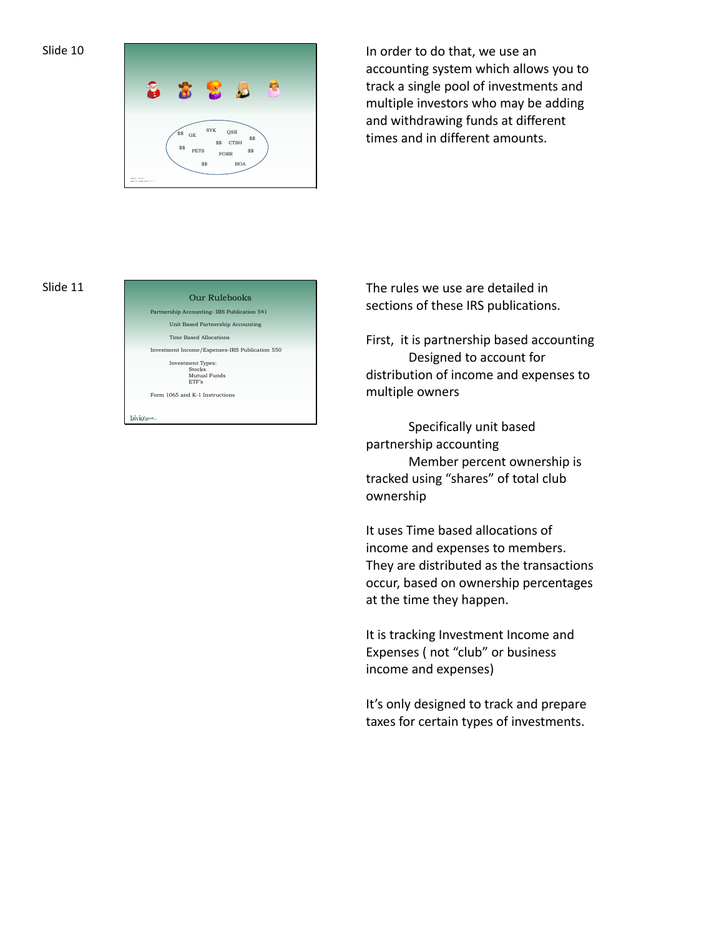



In order to do that, we use an accounting system which allows you to track a single pool of investments and multiple investors who may be adding and withdrawing funds at different times and in different amounts.

### Slide 11



The rules we use are detailed in sections of these IRS publications.

First, it is partnership based accounting Designed to account for distribution of income and expenses to multiple owners

Specifically unit based partnership accounting Member percent ownership is tracked using "shares" of total club ownership

It uses Time based allocations of income and expenses to members. They are distributed as the transactions occur, based on ownership percentages at the time they happen.

It is tracking Investment Income and Expenses ( not "club" or business income and expenses)

It's only designed to track and prepare taxes for certain types of investments.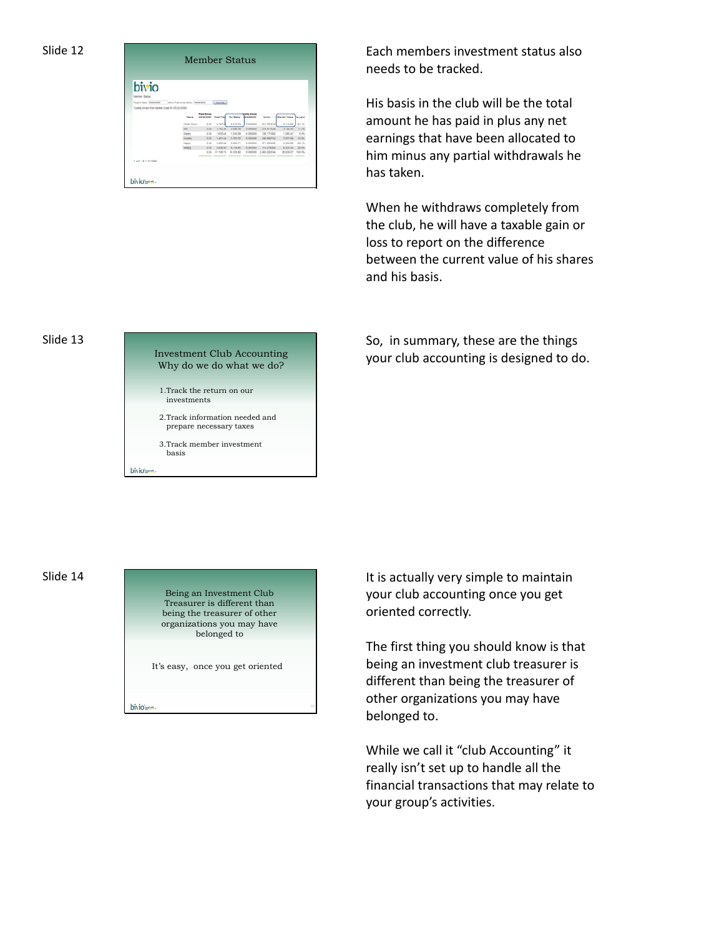| bivio                                              |                                         |                        |                   |                   |                                 |                       |                     |               |
|----------------------------------------------------|-----------------------------------------|------------------------|-------------------|-------------------|---------------------------------|-----------------------|---------------------|---------------|
|                                                    |                                         |                        |                   |                   |                                 |                       |                     |               |
| Member Status                                      |                                         |                        |                   |                   |                                 |                       |                     |               |
| Report State Inblantists                           | <b>Stove Payments Serie: Institutes</b> |                        | Libraries.        |                   |                                 |                       |                     |               |
| Tuesdo present from market crises for 05/23/2008). |                                         |                        |                   |                   |                                 |                       |                     |               |
|                                                    |                                         | Faid Since<br>64242605 | <b>Total Card</b> | <b>Tex Dealer</b> | 1442403                         | <b>Units</b>          | <b>Market Value</b> | Writered      |
|                                                    | <b>United Streets</b>                   | 9.04                   | 6.427.46          | 4.2-4.72          | 6 biobbis                       | 801701016             | 4.145.00            | 21.46         |
|                                                    | Cirie                                   | 0.00                   | 3,762.28          | 3.5 at 30         | <b>GOODS</b>                    | <b>JPK &amp;T1628</b> | 3,792.62            | 11.2%         |
|                                                    | Disney                                  | 3.28                   | 1,635.04          | 1,550.38          | 0-300000                        | 106 171002            | 1,193.47            | 1.0%          |
|                                                    | <b>DOM:</b>                             | 5.54                   | 1,411.04          | 3,000,00          | <b><i><u>A teneroni</u></i></b> | <b>Suit MARTIA</b>    | 2.674.56            | <b>SEPA</b>   |
|                                                    | Heiste                                  | 9.99                   | 5,000 44          | 9.884221          | <b>G-Internet</b>               | AP1 020002            | 6,519.26            | 98.1%         |
|                                                    | <b>COAKEV</b>                           | 3.07                   | 3.539.20          | 8,758.95          | <b>COMME</b>                    | <b>71221430</b>       | 1,233.52            | 20,0%         |
|                                                    |                                         | 9.24                   | 31,536 T1         | 39, 536, 62       | 0-SOOD00                        | 2 ANY COMINA          | 29, 638.27          | <b>TOO 2%</b> |
|                                                    |                                         |                        |                   |                   |                                 |                       |                     |               |

Each members investment status also needs to be tracked.

His basis in the club will be the total amount he has paid in plus any net earnings that have been allocated to him minus any partial withdrawals he has taken.

When he withdraws completely from the club, he will have a taxable gain or loss to report on the difference between the current value of his shares and his basis.

## Slide 13

# Investment Club Accounting Why do we do what we do? 1.Track the return on our investments 2.Track information needed and prepare necessary taxes 3.Track member investment basis bivio-

So, in summary, these are the things your club accounting is designed to do.

# Slide 14

Being an Investment Club Treasurer is different than being the treasurer of other organizations you may have belonged to

It's easy, once you get oriented

bivio-

It is actually very simple to maintain your club accounting once you get oriented correctly.

The first thing you should know is that being an investment club treasurer is different than being the treasurer of other organizations you may have belonged to.

While we call it "club Accounting" it really isn't set up to handle all the financial transactions that may relate to your group's activities.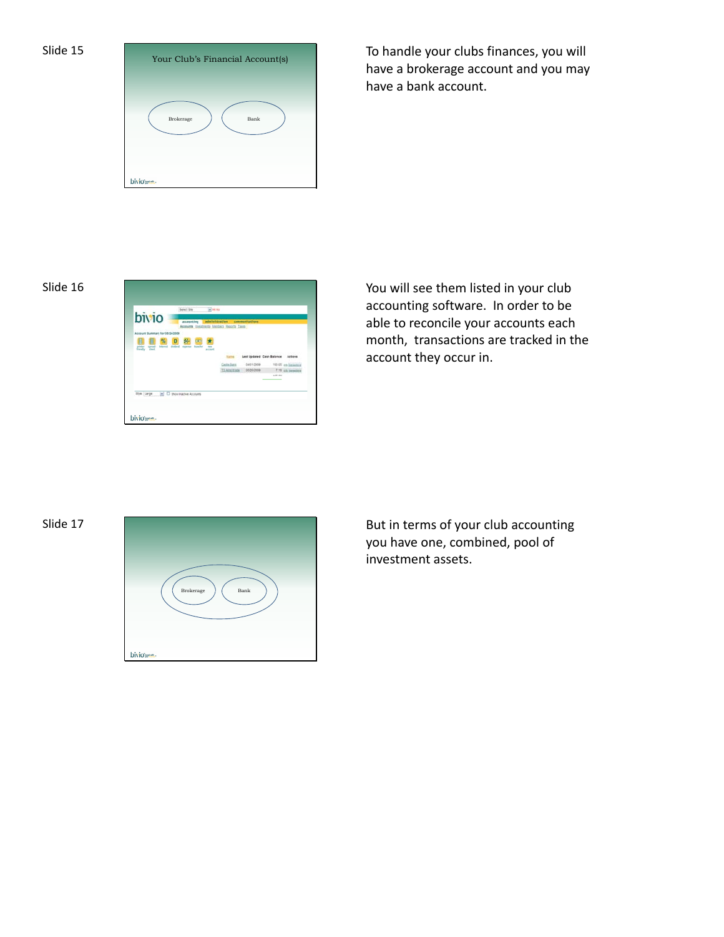

To handle your clubs finances, you will have a brokerage account and you may have a bank account.



accounting software. In order to be able to reconcile your accounts each month, transactions are tracked in the account they occur in.

# Slide 17



But in terms of your club accounting you have one, combined, pool of investment assets.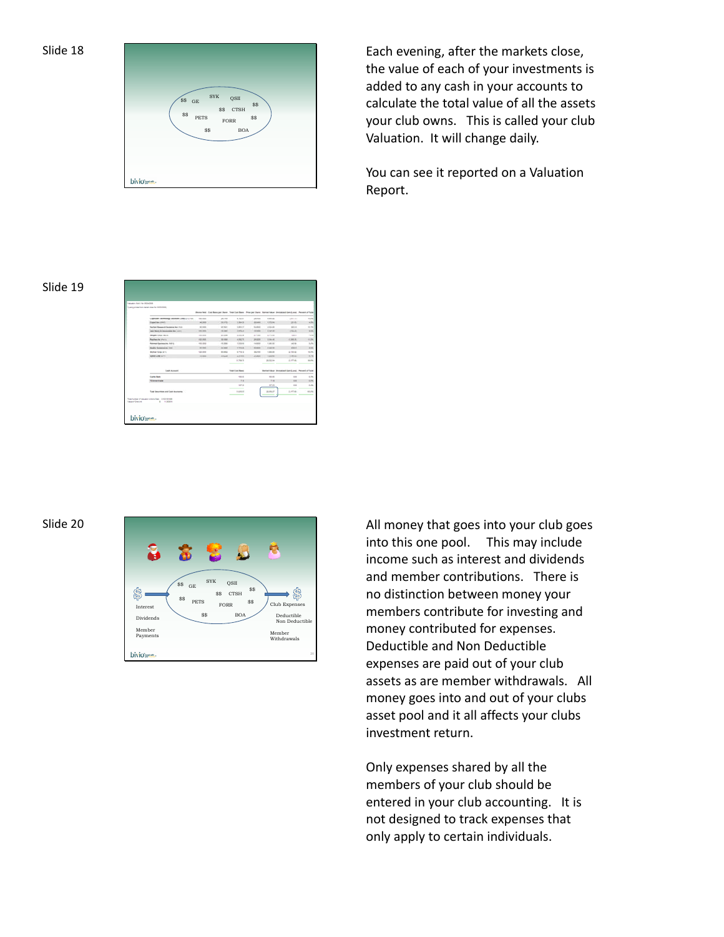|           | $_{\rm SYK}$<br>QSII<br>$\$<br>$$\rm{GE}$$<br>\$\$<br>\$\$ CTSH<br>\$\$<br>\$\$<br>${\tt PETS}$<br>FORR |
|-----------|---------------------------------------------------------------------------------------------------------|
| bivio me. | \$\$<br><b>BOA</b>                                                                                      |

Each evening, after the markets close, the value of each of your investments is added to any cash in your accounts to calculate the total value of all the assets your club owns. This is called your club Valuation. It will change daily.

You can see it reported on a Valuation Report.

## Slide 19

| Valuation (Sacc) No 0624-2020                     |                 |                     |                       |                |                 |                                                                                                                       |                  |
|---------------------------------------------------|-----------------|---------------------|-----------------------|----------------|-----------------|-----------------------------------------------------------------------------------------------------------------------|------------------|
| Survey private from market since for \$6,000,000. |                 |                     |                       |                |                 |                                                                                                                       |                  |
|                                                   |                 |                     |                       |                |                 | Mares held, Cost Benis per Dave, Tone Cost Bank, Price per Marie Vietner takes, Desighted Georg and - Person of Toler |                  |
| Legisland Tachmology Solutions Corp. Co Chico.    | <b>TEL INCH</b> | <b>JESTER</b>       | 1,3247                | James          | 1,91.01         | chel life.                                                                                                            | 15.6%            |
| Especial control                                  | at less         | <b>SEAFTS</b>       | 1949                  | 24 install     | <b>KIRSAL</b>   | 191941                                                                                                                | k fra            |
| Institute Research Automotive Inc. (712)          | <b>AS INVES</b> | 4.761               | 141.7                 | \$1,000        | 4,304,40        | 98149                                                                                                                 | $+1$             |
| and thereof & however, he were                    | <b>WARRANT</b>  | si ini              | 1454                  | <b>ANGELES</b> | 49494           | <b>CALLAS</b>                                                                                                         | <b>COL</b>       |
| temper-large reside                               | <b>Hot come</b> | <b>John Science</b> | A rick and            | \$1,7300       | 3, 172, 183     | <b>SALES</b>                                                                                                          | <b>DOM</b>       |
| <b>Residential Parties</b>                        | 42, 222         | 70,000              | 4,000.70              | 38,000         | 1.76.41         | 41, 202, 321                                                                                                          | (1, 2)           |
| <b>Retired Exercise Inc. FIETS</b>                | <b>HARAS</b>    | $-0.004$            | 1.559.00              | to leave       | 1,46.92         | <b>HEAR</b>                                                                                                           | <b>LPS</b>       |
| <b>Builde Screens as Inni-</b>                    | <b>MARKET</b>   | $-1004$             | 1114.00               | At most        | 4,640,000       | sis ri                                                                                                                | <b>Fill</b>      |
| <b>Bryter Gara</b> (Em)                           | 120,000         | 15, 215, 214        | 3,710.42              | 312-91         | 1,000.00        | 4,9548                                                                                                                | 10.2%            |
| <b>STEELAND STOLE</b>                             | To page 1       | <b>JOSEP</b>        | 3,104,953             | 21,000         | 1.60mm          | <b>THERE</b>                                                                                                          | <b>ATM</b>       |
|                                                   |                 |                     | <b>JA 766-76</b><br>- |                | 24.65g day<br>۰ | A 69.46                                                                                                               | <b>H-PS</b><br>۰ |
| <b>Cash Assumed</b>                               |                 |                     | Total Livel Brand     |                |                 | David Hitua Direction Services), Pennsylvania                                                                         |                  |
| Castle Barn                                       |                 |                     | <b>HEM</b>            |                | <b>HEMI</b>     | 12                                                                                                                    | ۰<br>1.77        |
| <b>TEAnerlyale</b>                                |                 |                     | TH.                   |                | 7.10            | 1.10                                                                                                                  | 175              |
|                                                   |                 |                     | 48.25                 |                | 47.21           | 1.10                                                                                                                  | 1.6%             |
|                                                   |                 |                     |                       |                |                 |                                                                                                                       |                  |

# Slide 20



All money that goes into your club goes into this one pool. This may include income such as interest and dividends and member contributions. There is no distinction between money your members contribute for investing and money contributed for expenses. Deductible and Non Deductible expenses are paid out of your club assets as are member withdrawals. All money goes into and out of your clubs asset pool and it all affects your clubs investment return.

Only expenses shared by all the members of your club should be entered in your club accounting. It is not designed to track expenses that only apply to certain individuals.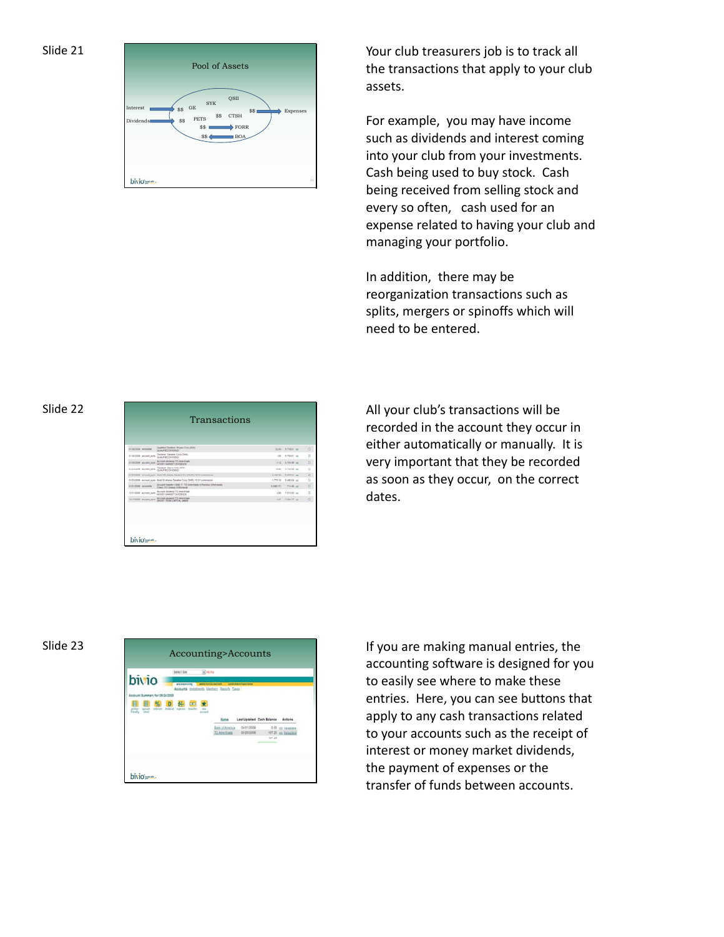

Your club treasurers job is to track all the transactions that apply to your club assets.

For example, you may have income such as dividends and interest coming into your club from your investments. Cash being used to buy stock. Cash being received from selling stock and every so often, cash used for an expense related to having your club and managing your portfolio.

In addition, there may be reorganization transactions such as splits, mergers or spinoffs which will need to be entered.

Slide 22

|                         | Transactions                                                                              |                |                     |
|-------------------------|-------------------------------------------------------------------------------------------|----------------|---------------------|
|                         |                                                                                           |                |                     |
| <b>CONTACTS SERVICE</b> | Scatted Second Wines Cod (696)<br><b>UAFRIMERO</b>                                        | <b>NOW!</b>    | <b>Allege and</b>   |
| STANDARD WILDFL SITE    | Discland, Dansher Corp. (Only).<br>DA/ED/HEIG                                             | 1.28           | A706.61 000         |
| <b>CONSUM MORE SER</b>  | Account Account 715 Arrestment<br>GOVEY MAINEY ZINCENCE                                   | <b>DESK</b>    | a history and       |
| <b>ONEMERS MOMENTS</b>  | Destend, Busca Corp (SW).<br>GUA FED DI CEIO                                              | 16.00          | 5700 et mil         |
|                         | BUSINESS Account april, those Hill plains Payment Co (FAST), 10 E1 commons                | A val M.       | <b>BANKAA</b> and   |
|                         | 0120203 accord, con SACS shares Danahar Corp (245), 10:01 convenient                      |                | ATTACH - TURNER AVE |
| <b>UNITED ANNUAL</b>    | Accord travels (LEE 17, TS Anadrais to Fevera Uthmace).<br>Check 101, Doesn't Hithstrace. | 49-14039-1-171 | THAT AT             |
| 12/21/2000 eccoent are  | Arristé doctoré. Til Anarkale.<br><b>SEXEY MARKEY DURBIN'S</b>                            | $+10$          | Pitcher and         |
| SECRETA Arrest Art      | Arrivald Annexed, TI Alrentinale                                                          | <b>A</b>       | 7 846 77 per        |
|                         | SHORT TOWAGARTAC GAINS                                                                    |                |                     |
|                         |                                                                                           |                |                     |
|                         |                                                                                           |                |                     |

All your club's transactions will be recorded in the account they occur in either automatically or manually. It is very important that they be recorded as soon as they occur, on the correct dates.



accounting software is designed for you to easily see where to make these entries. Here, you can see buttons that apply to any cash transactions related to your accounts such as the receipt of interest or money market dividends, the payment of expenses or the transfer of funds between accounts.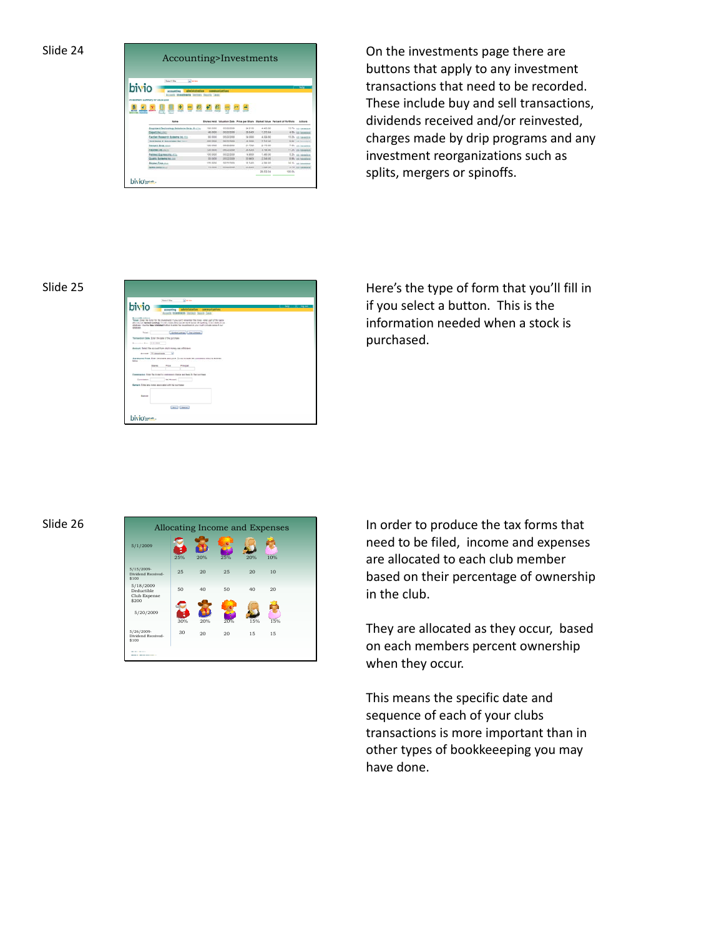| Slide | 4 |
|-------|---|
|-------|---|

|       | <b>Simple</b><br><b>Barbard Billion</b>      |                           |                        |                       |                                                                                    |        |                                         |
|-------|----------------------------------------------|---------------------------|------------------------|-----------------------|------------------------------------------------------------------------------------|--------|-----------------------------------------|
| bivio |                                              |                           |                        |                       |                                                                                    |        |                                         |
|       | admissionering<br><b>Artista Africa</b>      | representatives           |                        |                       |                                                                                    |        |                                         |
|       | meetrana larmes basily Lass                  |                           |                        |                       |                                                                                    |        |                                         |
|       |                                              |                           |                        |                       |                                                                                    |        |                                         |
|       | investment Summary for 05/26/2009            |                           |                        |                       |                                                                                    |        |                                         |
|       |                                              |                           |                        |                       |                                                                                    |        |                                         |
|       |                                              |                           |                        |                       |                                                                                    |        |                                         |
|       |                                              |                           |                        |                       |                                                                                    |        |                                         |
|       |                                              |                           |                        |                       |                                                                                    |        |                                         |
|       |                                              |                           |                        |                       |                                                                                    |        |                                         |
|       |                                              |                           |                        |                       |                                                                                    |        |                                         |
|       | <b>Sigma</b>                                 |                           |                        |                       | Shares Held, Valuation Date, Price per State, Market Value, Partners of Portfolio, |        | <b>Billians</b>                         |
|       |                                              |                           |                        |                       |                                                                                    |        |                                         |
|       | Seattlent Technology Schifford Ears, St.(20) | 180,0000                  | 05/22/2508             | 24 SYAR               | 4405.50                                                                            |        |                                         |
|       | Depart Inc. (Inc.)                           | 46,000                    | sensore.               | 28,5455               | <b>Kanzina</b>                                                                     |        | ATh on history                          |
|       | Faction Research Systems Inc. (Co.           | \$1,000                   | 10122-0104             | 34,000                | 4,324,80                                                                           |        | 15.7% cia immine<br>1275 ch tempora     |
|       | <b>SAN WARPS &amp; ASSESSMENT The County</b> | <b><i>SEE DOGS</i></b>    | <b><i>SESSING</i></b>  | 49,5066               | $2 + 4 + 16$                                                                       |        |                                         |
|       | <b><i><u>Bengan Gord Joseph</u></i></b>      | TON DOOR                  | 10.02/2009             | $2 + 7249$            | $2 + 12 + 0$                                                                       |        | \$15, on insurance<br>7.0% co. benefice |
|       | <b>FREEDER AND VISITES</b>                   | 120,0008                  | designation            | 26,6200               | 3.194.40                                                                           |        | 11.2% pa. nasama                        |
|       | Patrick Express Houston                      | 100.0008                  | 10:02:00:4             | 14,9000               | 1,490.00                                                                           |        |                                         |
|       | <b>Quantiz Systems Inc.com</b>               | 25 DOM<br><b>CRA SANA</b> | 30220306<br>SE EN TATA | THE RADOL<br>32, 5410 | 2.348.90                                                                           |        | 125 ca pension<br>1 Pb vit haranten     |
|       | <b>Noted Termines</b>                        |                           |                        |                       | 4.388.80                                                                           |        | 14 Ph. an interesting                   |
|       | <b>Brent Barg</b> And                        | TV NEW                    | <b>MADESHIRE</b>       | 31.25ml               | 1,029.00<br>28,832.04                                                              | 100.0% | 575 an immine                           |

On the investments page there are buttons that apply to any investment transactions that need to be recorded. These include buy and sell transactions, dividends received and/or reinvested, charges made by drip programs and any investment reorganizations such as splits, mergers or spinoffs.



Slide 25 **Here's the type of form that you'll fill in** if you select a button. This is the information needed when a stock is purchased.

## Slide 26



In order to produce the tax forms that need to be filed, income and expenses are allocated to each club member based on their percentage of ownership in the club.

They are allocated as they occur, based on each members percent ownership when they occur.

This means the specific date and sequence of each of your clubs transactions is more important than in other types of bookkeeeping you may have done.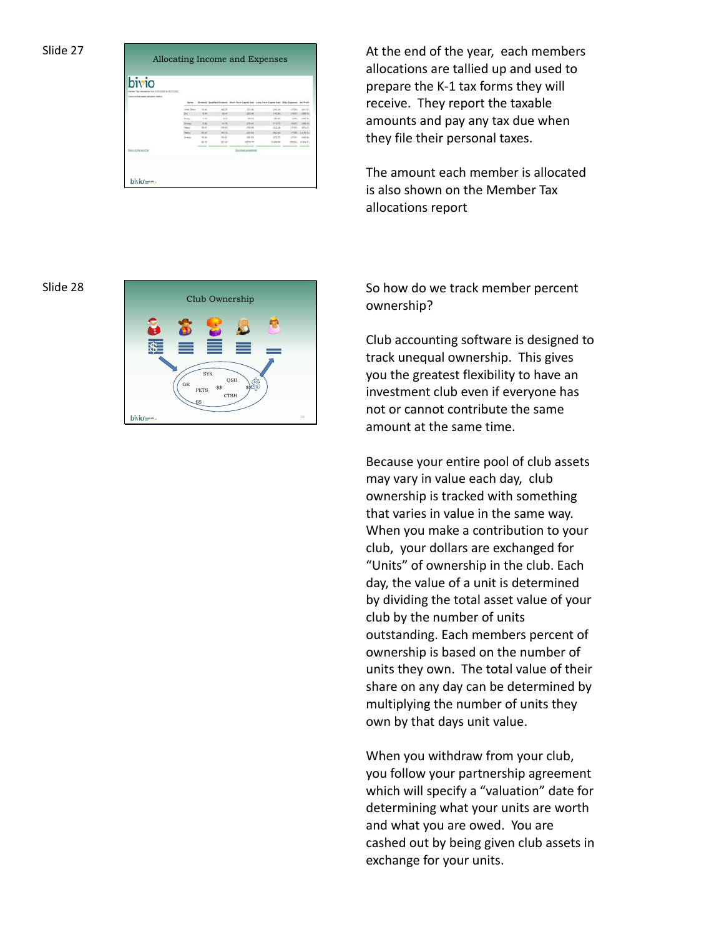| bivio                                 |                 |             |             |                                                                              |               |                 |                    |
|---------------------------------------|-----------------|-------------|-------------|------------------------------------------------------------------------------|---------------|-----------------|--------------------|
| Towns a true based attractor instruc- |                 |             |             |                                                                              |               |                 |                    |
|                                       |                 |             |             | dent Spatted Brownel Mort-Term (aptal Gen Long-Term Capter Gen 19se, Expense |               |                 | <b>Sat Avant</b>   |
|                                       | trees Board     | <b>Hall</b> | tes in      | chicago.                                                                     | grade.        | 187.54          | 1911 87            |
|                                       |                 | 8.94        | <b>HOLD</b> | 100146                                                                       | <b>IMM</b>    | $+46.871$       |                    |
|                                       | Trans-          | $-11$       | 1.14        | chi chi                                                                      | 14.46         | 12, 230         | cred in            |
|                                       | <b>Electric</b> | 14          | 41.76       | comes:                                                                       | LINEARY.      | 199.95          | 1989-941           |
|                                       | <b>SALE</b>     | 10.01       | 148.88      | (703.03)                                                                     | (232.24)      | 11TAX           | 49.95              |
|                                       | <b>Secure</b>   | 26.48       | hat is      | <b>INTERN</b>                                                                | <b>ISSCHO</b> |                 | cetate. Locate for |
|                                       | <b>Brassi</b>   | 16.26       | 116.03      | (344.9%)                                                                     | 475.271       | 147, 84         | 1488.84            |
|                                       |                 | $= 10$      | 171.07      | <b>ISLENE PRO</b>                                                            | $-20130$      | <b>TELE ATT</b> | 10.000.00          |
| MAIL & ALANTAN                        |                 |             |             | <b>Douman Autocation</b>                                                     |               |                 |                    |
|                                       |                 |             |             |                                                                              |               |                 |                    |

At the end of the year, each members allocations are tallied up and used to prepare the K‐1 tax forms they will receive. They report the taxable amounts and pay any tax due when they file their personal taxes.

The amount each member is allocated is also shown on the Member Tax allocations report

## Slide 28



So how do we track member percent ownership?

Club accounting software is designed to track unequal ownership. This gives you the greatest flexibility to have an investment club even if everyone has not or cannot contribute the same amount at the same time.

Because your entire pool of club assets may vary in value each day, club ownership is tracked with something that varies in value in the same way. When you make a contribution to your club, your dollars are exchanged for "Units" of ownership in the club. Each day, the value of a unit is determined by dividing the total asset value of your club by the number of units outstanding. Each members percent of ownership is based on the number of units they own. The total value of their share on any day can be determined by multiplying the number of units they own by that days unit value.

When you withdraw from your club, you follow your partnership agreement which will specify a "valuation" date for determining what your units are worth and what you are owed. You are cashed out by being given club assets in exchange for your units.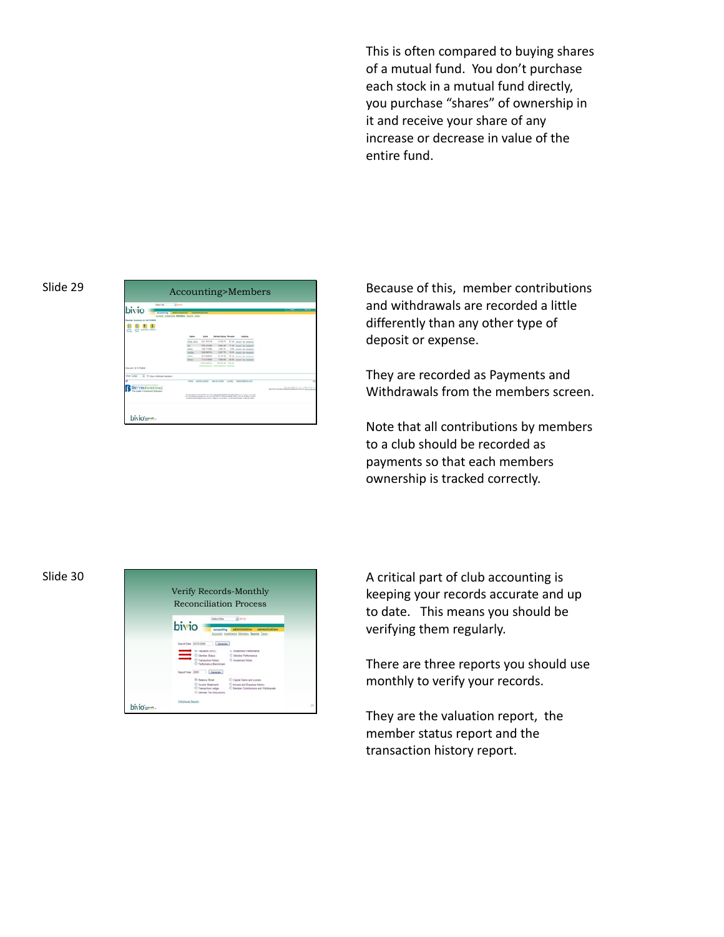This is often compared to buying shares of a mutual fund. You don't purchase each stock in a mutual fund directly, you purchase "shares" of ownership in it and receive your share of any increase or decrease in value of the entire fund.



Slide 29 Accounting>Members Because of this, member contributions and withdrawals are recorded a little differently than any other type of deposit or expense.

> They are recorded as Payments and Withdrawals from the members screen.

> Note that all contributions by members to a club should be recorded as payments so that each members ownership is tracked correctly.

# Slide 30



A critical part of club accounting is keeping your records accurate and up to date. This means you should be verifying them regularly.

There are three reports you should use monthly to verify your records.

They are the valuation report, the member status report and the transaction history report.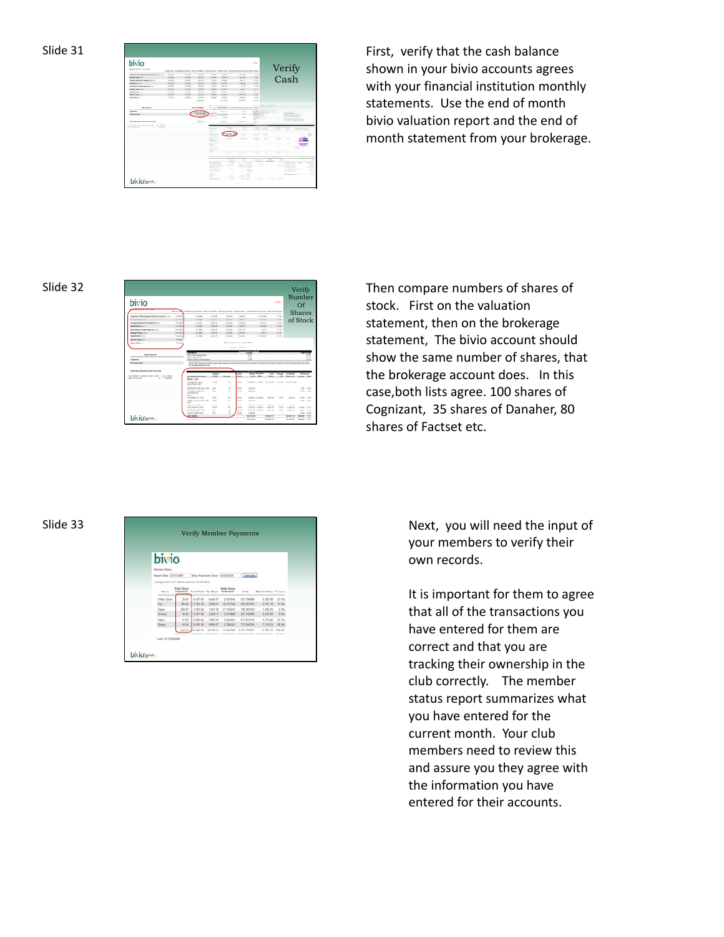

First, verify that the cash balance shown in your bivio accounts agrees with your financial institution monthly statements. Use the end of month bivio valuation report and the end of month statement from your brokerage.

## Slide 32

| bivio                                                                                                     | ----             | Even book on those from Doct book #100 per those three two constraints from the cost of from                                                                                                                                                         |                      |                                                                                         |                   |                                                         |                     | <b>Mill Miles</b>     |                                       | Verify<br>Number<br>$\Omega$ f |                                                                                                  |
|-----------------------------------------------------------------------------------------------------------|------------------|------------------------------------------------------------------------------------------------------------------------------------------------------------------------------------------------------------------------------------------------------|----------------------|-----------------------------------------------------------------------------------------|-------------------|---------------------------------------------------------|---------------------|-----------------------|---------------------------------------|--------------------------------|--------------------------------------------------------------------------------------------------|
| Engraves betweening benefited Card (21) Im-                                                               | <b>THE GREAT</b> | <b>DI MORE</b>                                                                                                                                                                                                                                       | to believe           | to card                                                                                 | 1,000,000         | all and see                                             |                     | $-10$                 |                                       | <b>Shares</b>                  |                                                                                                  |
| <b>Rendering English</b>                                                                                  | <b>ALCOHOL:</b>  | <b>AF OVER</b>                                                                                                                                                                                                                                       | E will ac            | <b>SA GARD</b>                                                                          | <b>Distance</b>   |                                                         | <b>SALE</b>         | ALC: U                |                                       |                                |                                                                                                  |
| <b>Forder Sassant Automobile Inc.</b>                                                                     | $-100$           | ALC: NO                                                                                                                                                                                                                                              | 1 min 41             | $m$ (see)                                                                               | 120410-001        |                                                         | <b>Links and</b>    | tain.                 |                                       | of Stock                       |                                                                                                  |
| <b>Foreston CA 101</b>                                                                                    | 18.146           | <b>Haraka</b>                                                                                                                                                                                                                                        | <b>START AND</b>     | 14,404                                                                                  | 1.0013            |                                                         | <b>CALLS</b>        | 14,056                |                                       |                                |                                                                                                  |
| and flams & Jopponess Inc.                                                                                | <b>COLLEGE</b>   | $-1.144$                                                                                                                                                                                                                                             | <b>LOW AT</b>        | 19.419                                                                                  | 1919              |                                                         | $\cdots$            | 11.06                 |                                       |                                |                                                                                                  |
| <b>Restant Earn Inch</b>                                                                                  | <b>SA GAL</b>    | <b>SETTING</b>                                                                                                                                                                                                                                       | <b>SIMME</b>         | 33,000                                                                                  | 1,44.92           |                                                         | <b>MAR</b>          | 1674.                 |                                       |                                |                                                                                                  |
| <b><i>INSTRUCTS AND</i></b>                                                                               | 100 MW           | to test                                                                                                                                                                                                                                              | a min be             | <b>MARK</b>                                                                             | <b>STEERS</b>     | <b>HARM</b>                                             |                     | 13.7%                 |                                       |                                |                                                                                                  |
| <b>Brahar Ware 4:11</b>                                                                                   | <b>AGAIN</b>     |                                                                                                                                                                                                                                                      |                      |                                                                                         |                   |                                                         |                     |                       |                                       |                                |                                                                                                  |
| <b>Book From Inc.</b>                                                                                     | <b>TO AND</b>    |                                                                                                                                                                                                                                                      |                      | <b>Report Follows</b> Construction of the American                                      |                   |                                                         |                     |                       |                                       |                                |                                                                                                  |
| <b><i><u>Instruments</u></i></b>                                                                          |                  | they Twen Capties States<br><b>Contract Engineeries</b>                                                                                                                                                                                              |                      |                                                                                         |                   | 111<br><b>SAN</b>                                       |                     |                       |                                       |                                |                                                                                                  |
| Bungaras<br><b>Th</b> believe models                                                                      |                  | <b>Eleno Rankel Fund Dealersh</b><br>soluted. Near print/side can be club sharepy made to prevent counseled and sense of experience symptoms in our replacer dustries. The cash side was will accurate offer<br>and cut-called allocate for the and- |                      | turned and was a man to obtain a series for the country. The company was the out-series |                   | $\lambda$                                               |                     |                       |                                       |                                |                                                                                                  |
| <b>They benefites and fast boomby</b>                                                                     |                  |                                                                                                                                                                                                                                                      | <b>London</b><br>Gas |                                                                                         | -<br><b>Braue</b> | <b>Weiter Publishers</b><br><b>Date</b><br><b>Value</b> | ī                   | <b>Amage</b><br>time. | <b>Christmas</b><br><b>Sales Lead</b> | <b>SHOW:</b>                   |                                                                                                  |
| Type burning of transmission in Lage  Julian Company<br>A 14 Garriso<br>Island of Timer Link-<br>$-11122$ |                  | Jessiner Inscher<br><b>Body Car</b><br>COMMUNIST THEM                                                                                                                                                                                                | CTM.                 | 1600                                                                                    | $m \approx$       | \$1,0000 tolets' \$3,000 \$30.00 \$1,000 \$1            |                     |                       |                                       |                                |                                                                                                  |
|                                                                                                           |                  | <b>BLAUFRONS CRF</b><br><b>COM</b>                                                                                                                                                                                                                   |                      |                                                                                         |                   |                                                         |                     |                       |                                       |                                |                                                                                                  |
|                                                                                                           |                  | Detect-ER-CORP DEL COM                                                                                                                                                                                                                               | Oral                 | $\mathbb{R}$                                                                            | $^{12}$           | 1,881.30                                                | $\alpha$            | ٠                     |                                       | 4.20 4.2%                      |                                                                                                  |
|                                                                                                           |                  | FINITEST PAINT-PAINT<br><b>STATERS AV.</b>                                                                                                                                                                                                           | PAS                  | $\sim$                                                                                  | <b>HGH</b>        | 3,425,20                                                |                     |                       |                                       | <b>PALLAS</b>                  |                                                                                                  |
|                                                                                                           |                  | <b>COM</b><br>ENGINEERI GALISIE                                                                                                                                                                                                                      | <b>DATE</b>          | 100                                                                                     | 16.46             | Lake as collabo                                         | 3 died at           | to an                 | CALL AVE                              | to co.                         |                                                                                                  |
|                                                                                                           |                  | HENRY JULY AARRES INC.                                                                                                                                                                                                                               | 100                  | $\rightarrow$                                                                           | 10.41             | 3 4 9 8 8 8                                             | ٠                   | ٠                     |                                       | 4.16                           |                                                                                                  |
|                                                                                                           |                  | cost.<br><b>MECHANIC FIRST COMP</b>                                                                                                                                                                                                                  | <b>MAYA</b>          | <b>MA</b>                                                                               | <b>SER</b>        | Localdo, Introduce                                      | 3,000,000           | 35.76                 | age as                                |                                |                                                                                                  |
|                                                                                                           |                  | <b>PAYOUS INT COR</b>                                                                                                                                                                                                                                | PAYS                 | <b>SOF</b>                                                                              | <b>DEL 20</b>     | LIGLAR VALUES                                           | 4.541.34            | 16.56                 | (1.408, 10)                           | take cars.                     |                                                                                                  |
|                                                                                                           |                  | <b>ENGINEER CORP.COM</b>                                                                                                                                                                                                                             | -                    | $\sim$                                                                                  | <b>START</b>      | LIVED DEPART                                            | <b>STATISTICS</b>   | --                    | (1, 2, 0), 4, 5,                      | $-10.14$                       |                                                                                                  |
| bivio-                                                                                                    |                  | <b>SYNCOLOGY COM</b><br><b>DESCRIPTION</b>                                                                                                                                                                                                           | <b>SY'S</b>          | $\mathbf{r}$                                                                            | ALM               | 1,605.85<br><b>CALCULAR</b>                             | ٠<br><b>DOLLARS</b> | $\sim$                | <b>BARTAS</b>                         | of on<br><b>DESCRIPTION</b>    | $-1$<br><b>KLIS</b><br><b>State</b><br>1.0%<br>103<br>4.7%<br><b>STAR</b><br>4.07<br><b>King</b> |

Then compare numbers of shares of stock. First on the valuation statement, then on the brokerage statement, The bivio account should show the same number of shares, that the brokerage account does. In this case,both lists agree. 100 shares of Cognizant, 35 shares of Danaher, 80 shares of Factset etc.

### Slide 33



Verify Member Payments Next, you will need the input of your members to verify their own records.

> It is important for them to agree that all of the transactions you have entered for them are correct and that you are tracking their ownership in the club correctly. The member status report summarizes what you have entered for the current month. Your club members need to review this and assure you they agree with the information you have entered for their accounts.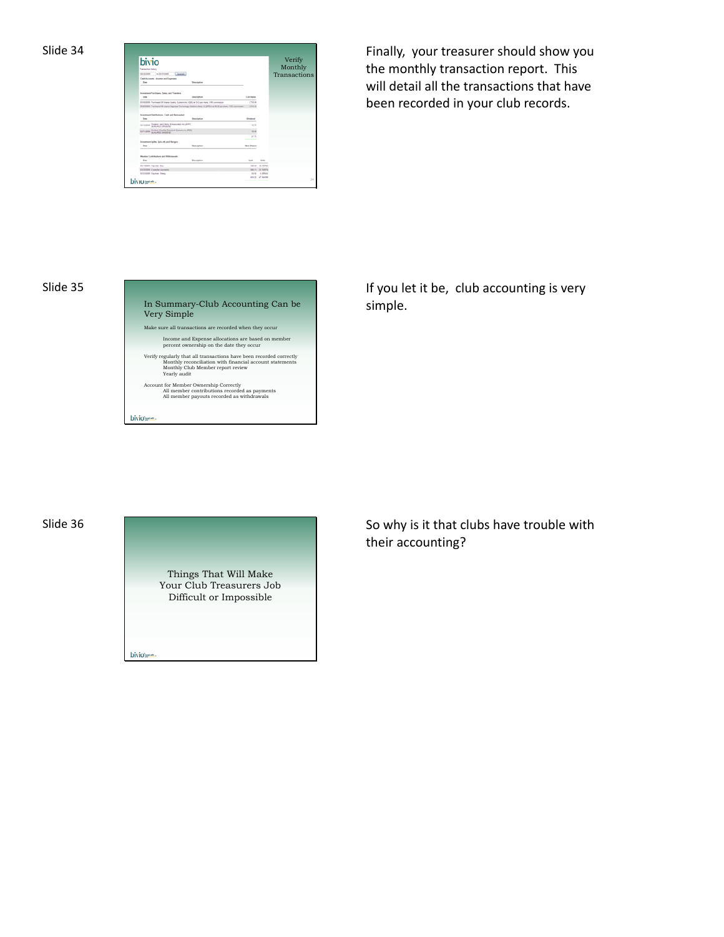

Finally, your treasurer should show you the monthly transaction report. This will detail all the transactions that have been recorded in your club records.



If you let it be, club accounting is very simple.

Slide 36

Things That Will Make Your Club Treasurers Job Difficult or Impossible biviour-

So why is it that clubs have trouble with their accounting?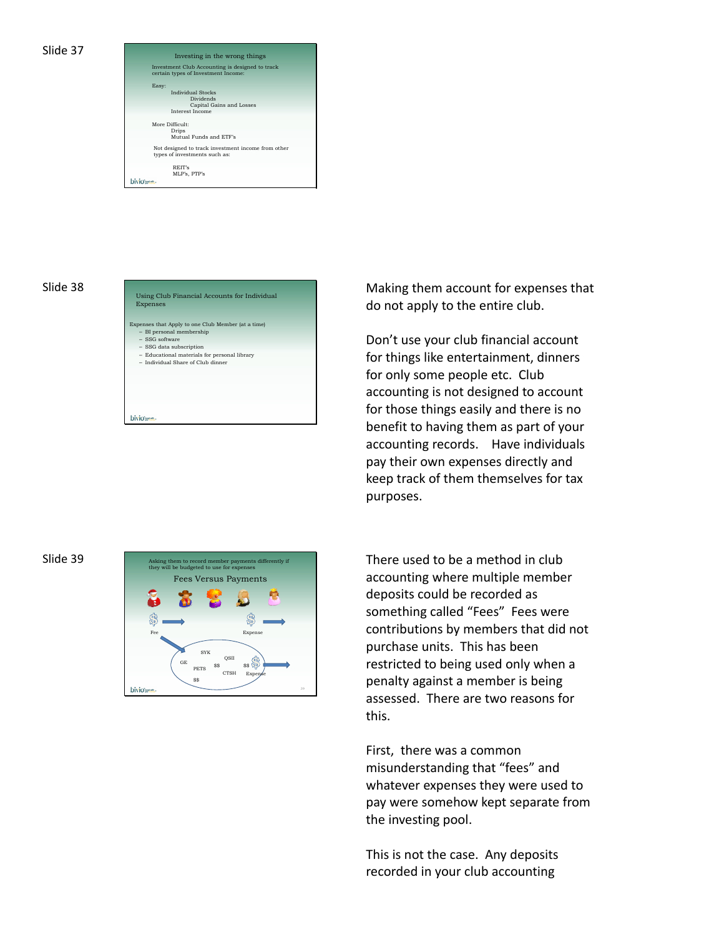

### Slide 38

| Using Club Financial Accounts for Individual<br>Expenses                                                                                                                                                           |
|--------------------------------------------------------------------------------------------------------------------------------------------------------------------------------------------------------------------|
| Expenses that Apply to one Club Member (at a time)<br>- BI personal membership<br>$-$ SSG software<br>- SSG data subscription<br>- Educational materials for personal library<br>- Individual Share of Club dinner |
|                                                                                                                                                                                                                    |

Making them account for expenses that do not apply to the entire club.

Don't use your club financial account for things like entertainment, dinners for only some people etc. Club accounting is not designed to account for those things easily and there is no benefit to having them as part of your accounting records. Have individuals pay their own expenses directly and keep track of them themselves for tax purposes.

### Slide 39



There used to be a method in club accounting where multiple member deposits could be recorded as something called "Fees" Fees were contributions by members that did not purchase units. This has been restricted to being used only when a penalty against a member is being assessed. There are two reasons for this.

First, there was a common misunderstanding that "fees" and whatever expenses they were used to pay were somehow kept separate from the investing pool.

This is not the case. Any deposits recorded in your club accounting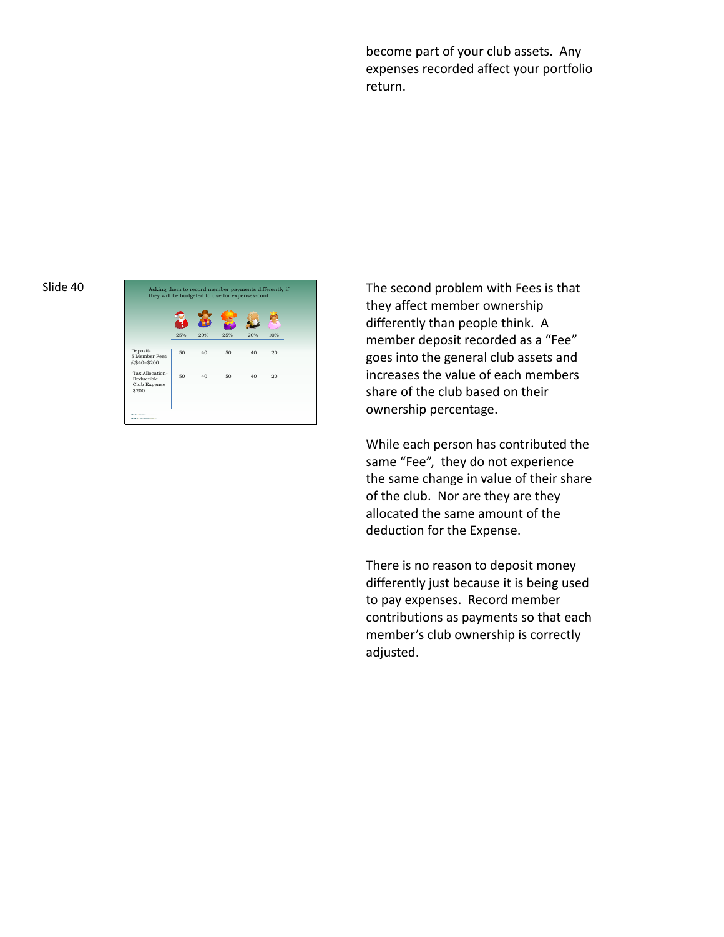become part of your club assets. Any expenses recorded affect your portfolio return.

### Slide 40



The second problem with Fees is that they affect member ownership differently than people think. A member deposit recorded as a "Fee" goes into the general club assets and increases the value of each members share of the club based on their ownership percentage.

While each person has contributed the same "Fee", they do not experience the same change in value of their share of the club. Nor are they are they allocated the same amount of the deduction for the Expense.

There is no reason to deposit money differently just because it is being used to pay expenses. Record member contributions as payments so that each member's club ownership is correctly adjusted.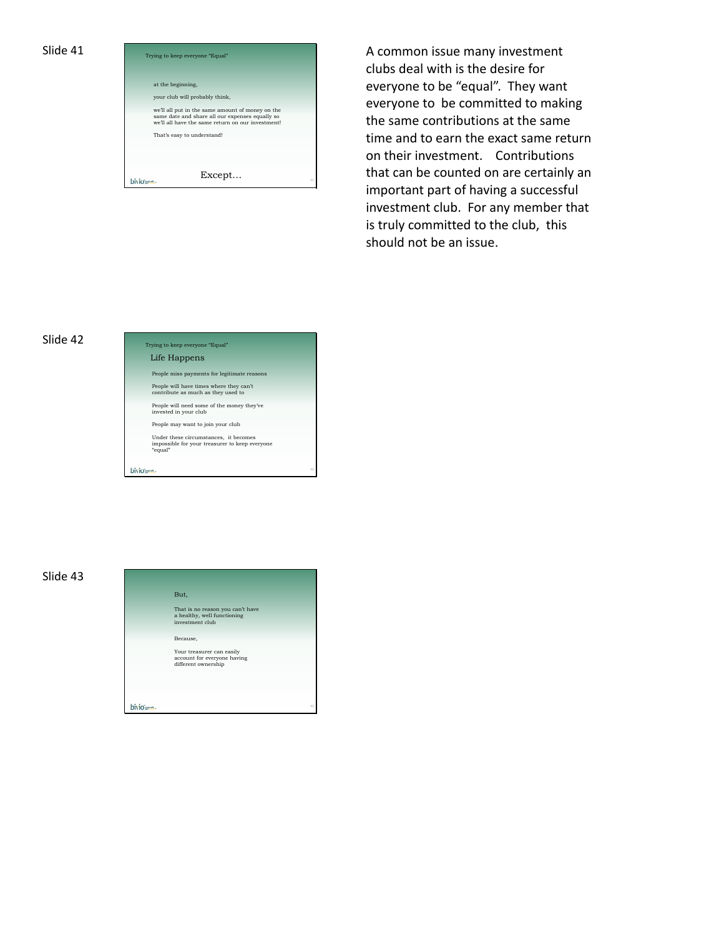

Trying to keep everyone "Equal" **A common issue many investment** clubs deal with is the desire for everyone to be "equal". They want everyone to be committed to making the same contributions at the same time and to earn the exact same return on their investment. Contributions that can be counted on are certainly an important part of having a successful investment club. For any member that is truly committed to the club, this should not be an issue.

### Slide 42



### Slide 43

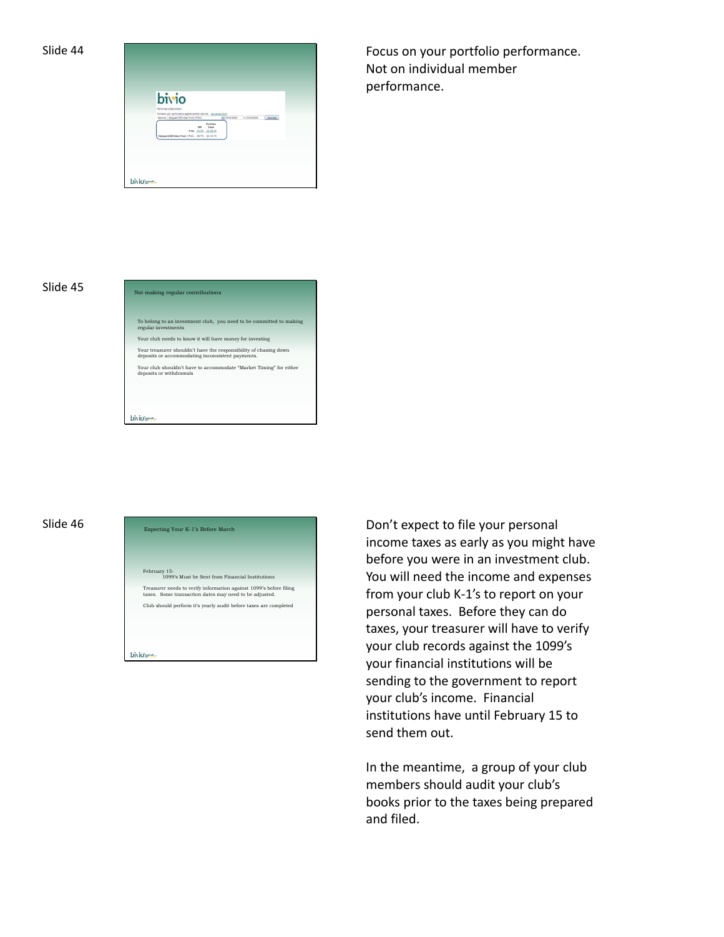

| bivio                                                                                                                                   |
|-----------------------------------------------------------------------------------------------------------------------------------------|
| <b>Partymente Benchmen</b>                                                                                                              |
| Estuare plus performance against aircriter excursiv-<br>$-3+202010$ $+3+3022016$<br>Jewer.<br>Secrety   Verguerd SSE nisse Fynd (UPSI); |
| <b>Portfolio</b><br><b>Mature</b><br><b>HH</b><br>NHH JIJI JIJILI                                                                       |
| Vienpuerd 600 links Fund (1713). - 067% DLT1175                                                                                         |

Slide 44 **Focus on your portfolio performance**. Not on individual member performance.



# Slide 46 Expecting Your K-1's Before March

February 15- 1099's Must be Sent from Financial Institutions Treasurer needs to verify information against 1099's before filing taxes. Some transaction dates may need to be adjusted. Club should perform it's yearly audit before taxes are completed bivious-

Don't expect to file your personal income taxes as early as you might have before you were in an investment club. You will need the income and expenses from your club K‐1's to report on your personal taxes. Before they can do taxes, your treasurer will have to verify your club records against the 1099's your financial institutions will be sending to the government to report your club's income. Financial institutions have until February 15 to send them out.

In the meantime, a group of your club members should audit your club's books prior to the taxes being prepared and filed.